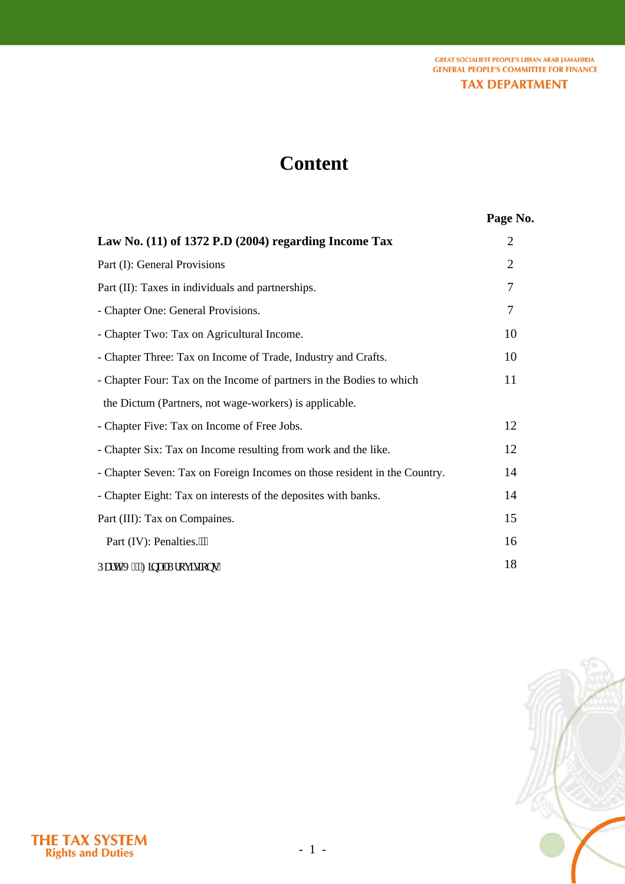**GREAT SOCIALIEST PEOPLE'S LIBIAN ARAB JAMAHIRIA GENERAL PEOPLE'S COMMITTEE FOR FINANCE TAX DEPARTMENT** 

# **Content**

# **Page No.**

| Law No. (11) of 1372 P.D (2004) regarding Income Tax                                | $\overline{2}$ |
|-------------------------------------------------------------------------------------|----------------|
| Part (I): General Provisions                                                        | $\overline{2}$ |
| Part (II): Taxes in individuals and partnerships.                                   | 7              |
| - Chapter One: General Provisions.                                                  | 7              |
| - Chapter Two: Tax on Agricultural Income.                                          | 10             |
| - Chapter Three: Tax on Income of Trade, Industry and Crafts.                       | 10             |
| - Chapter Four: Tax on the Income of partners in the Bodies to which                | 11             |
| the Dictum (Partners, not wage-workers) is applicable.                              |                |
| - Chapter Five: Tax on Income of Free Jobs.                                         | 12             |
| - Chapter Six: Tax on Income resulting from work and the like.                      | 12             |
| - Chapter Seven: Tax on Foreign Incomes on those resident in the Country.           | 14             |
| - Chapter Eight: Tax on interests of the deposites with banks.                      | 14             |
| Part (III): Tax on Compaines.                                                       | 15             |
| Part (IV): Penalties."""                                                            | 16             |
| Rctv <sup>*</sup> X <sup>+</sup> <hpcnrtqxkkpu0< td=""><td>18</td></hpcnrtqxkkpu0<> | 18             |

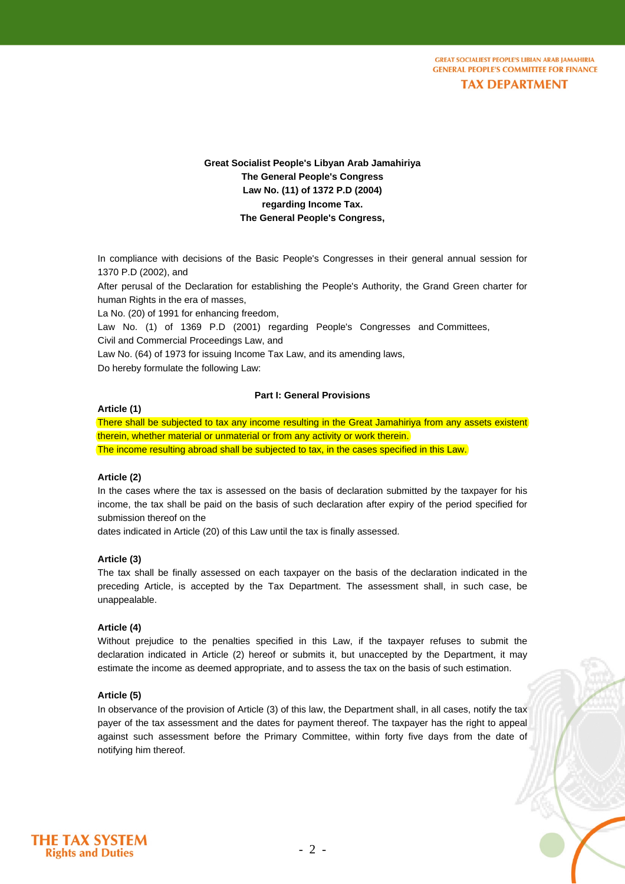**GREAT SOCIALIEST PEOPLE'S LIBIAN ARAB JAMAHIRIA CENERAL PEOPLE'S COMMITTEE FOR FINANCE** 

# **TAX DEPARTMENT**

# **Great Socialist People's Libyan Arab Jamahiriya The General People's Congress Law No. (11) of 1372 P.D (2004) regarding Income Tax. The General People's Congress,**

In compliance with decisions of the Basic People's Congresses in their general annual session for 1370 P.D (2002), and

After perusal of the Declaration for establishing the People's Authority, the Grand Green charter for human Rights in the era of masses,

La No. (20) of 1991 for enhancing freedom,

Law No. (1) of 1369 P.D (2001) regarding People's Congresses and Committees, Civil and Commercial Proceedings Law, and

Law No. (64) of 1973 for issuing Income Tax Law, and its amending laws,

Do hereby formulate the following Law:

## **Part I: General Provisions**

#### **Article (1)**

There shall be subjected to tax any income resulting in the Great Jamahiriya from any assets existent therein, whether material or unmaterial or from any activity or work therein. The income resulting abroad shall be subjected to tax, in the cases specified in this Law.

## **Article (2)**

In the cases where the tax is assessed on the basis of declaration submitted by the taxpayer for his income, the tax shall be paid on the basis of such declaration after expiry of the period specified for submission thereof on the

dates indicated in Article (20) of this Law until the tax is finally assessed.

#### **Article (3)**

The tax shall be finally assessed on each taxpayer on the basis of the declaration indicated in the preceding Article, is accepted by the Tax Department. The assessment shall, in such case, be unappealable.

#### **Article (4)**

Without prejudice to the penalties specified in this Law, if the taxpayer refuses to submit the declaration indicated in Article (2) hereof or submits it, but unaccepted by the Department, it may estimate the income as deemed appropriate, and to assess the tax on the basis of such estimation.

#### **Article (5)**

In observance of the provision of Article (3) of this law, the Department shall, in all cases, notify the tax payer of the tax assessment and the dates for payment thereof. The taxpayer has the right to appeal against such assessment before the Primary Committee, within forty five days from the date of notifying him thereof.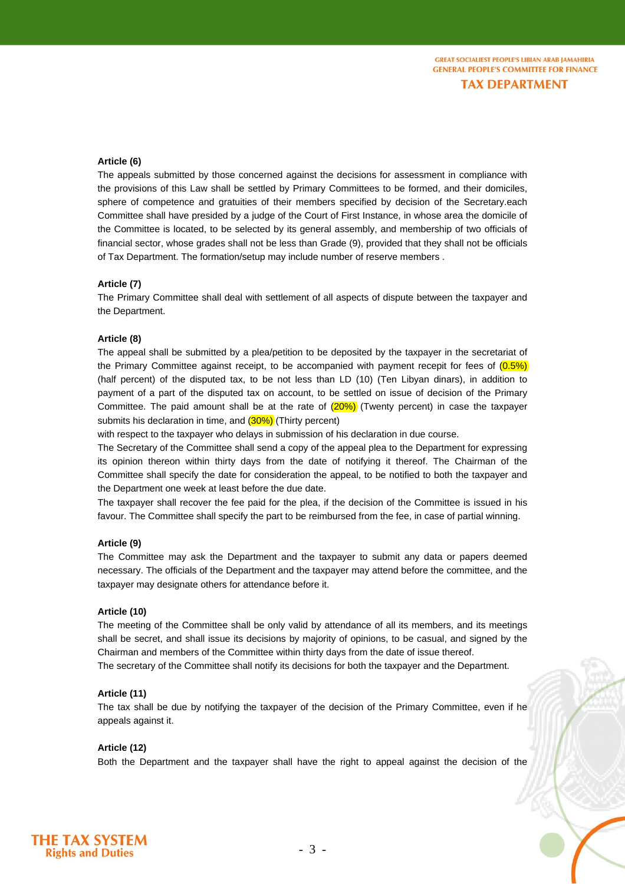# **Article (6)**

The appeals submitted by those concerned against the decisions for assessment in compliance with the provisions of this Law shall be settled by Primary Committees to be formed, and their domiciles, sphere of competence and gratuities of their members specified by decision of the Secretary.each Committee shall have presided by a judge of the Court of First Instance, in whose area the domicile of the Committee is located, to be selected by its general assembly, and membership of two officials of financial sector, whose grades shall not be less than Grade (9), provided that they shall not be officials of Tax Department. The formation/setup may include number of reserve members .

#### **Article (7)**

The Primary Committee shall deal with settlement of all aspects of dispute between the taxpayer and the Department.

#### **Article (8)**

The appeal shall be submitted by a plea/petition to be deposited by the taxpayer in the secretariat of the Primary Committee against receipt, to be accompanied with payment recepit for fees of  $(0.5\%)$ (half percent) of the disputed tax, to be not less than LD (10) (Ten Libyan dinars), in addition to payment of a part of the disputed tax on account, to be settled on issue of decision of the Primary Committee. The paid amount shall be at the rate of  $(20%)$  (Twenty percent) in case the taxpayer submits his declaration in time, and  $(30\%)$  (Thirty percent)

with respect to the taxpayer who delays in submission of his declaration in due course.

The Secretary of the Committee shall send a copy of the appeal plea to the Department for expressing its opinion thereon within thirty days from the date of notifying it thereof. The Chairman of the Committee shall specify the date for consideration the appeal, to be notified to both the taxpayer and the Department one week at least before the due date.

The taxpayer shall recover the fee paid for the plea, if the decision of the Committee is issued in his favour. The Committee shall specify the part to be reimbursed from the fee, in case of partial winning.

#### **Article (9)**

The Committee may ask the Department and the taxpayer to submit any data or papers deemed necessary. The officials of the Department and the taxpayer may attend before the committee, and the taxpayer may designate others for attendance before it.

#### **Article (10)**

The meeting of the Committee shall be only valid by attendance of all its members, and its meetings shall be secret, and shall issue its decisions by majority of opinions, to be casual, and signed by the Chairman and members of the Committee within thirty days from the date of issue thereof. The secretary of the Committee shall notify its decisions for both the taxpayer and the Department.

#### **Article (11)**

The tax shall be due by notifying the taxpayer of the decision of the Primary Committee, even if he appeals against it.

#### **Article (12)**

Both the Department and the taxpayer shall have the right to appeal against the decision of the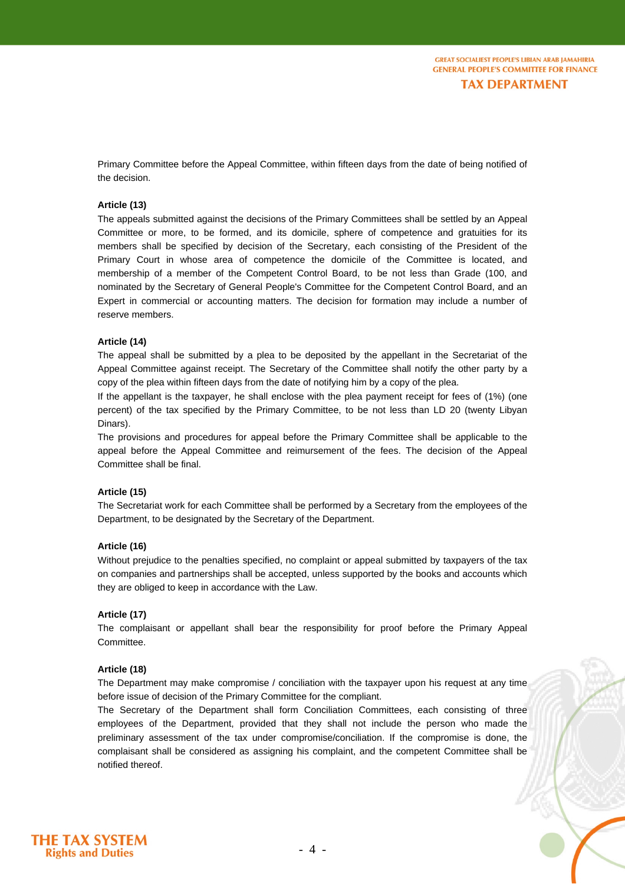Primary Committee before the Appeal Committee, within fifteen days from the date of being notified of the decision.

## **Article (13)**

The appeals submitted against the decisions of the Primary Committees shall be settled by an Appeal Committee or more, to be formed, and its domicile, sphere of competence and gratuities for its members shall be specified by decision of the Secretary, each consisting of the President of the Primary Court in whose area of competence the domicile of the Committee is located, and membership of a member of the Competent Control Board, to be not less than Grade (100, and nominated by the Secretary of General People's Committee for the Competent Control Board, and an Expert in commercial or accounting matters. The decision for formation may include a number of reserve members.

#### **Article (14)**

The appeal shall be submitted by a plea to be deposited by the appellant in the Secretariat of the Appeal Committee against receipt. The Secretary of the Committee shall notify the other party by a copy of the plea within fifteen days from the date of notifying him by a copy of the plea.

If the appellant is the taxpayer, he shall enclose with the plea payment receipt for fees of (1%) (one percent) of the tax specified by the Primary Committee, to be not less than LD 20 (twenty Libyan Dinars).

The provisions and procedures for appeal before the Primary Committee shall be applicable to the appeal before the Appeal Committee and reimursement of the fees. The decision of the Appeal Committee shall be final.

#### **Article (15)**

The Secretariat work for each Committee shall be performed by a Secretary from the employees of the Department, to be designated by the Secretary of the Department.

#### **Article (16)**

Without prejudice to the penalties specified, no complaint or appeal submitted by taxpayers of the tax on companies and partnerships shall be accepted, unless supported by the books and accounts which they are obliged to keep in accordance with the Law.

#### **Article (17)**

The complaisant or appellant shall bear the responsibility for proof before the Primary Appeal Committee.

#### **Article (18)**

The Department may make compromise / conciliation with the taxpayer upon his request at any time before issue of decision of the Primary Committee for the compliant.

The Secretary of the Department shall form Conciliation Committees, each consisting of three employees of the Department, provided that they shall not include the person who made the preliminary assessment of the tax under compromise/conciliation. If the compromise is done, the complaisant shall be considered as assigning his complaint, and the competent Committee shall be notified thereof.

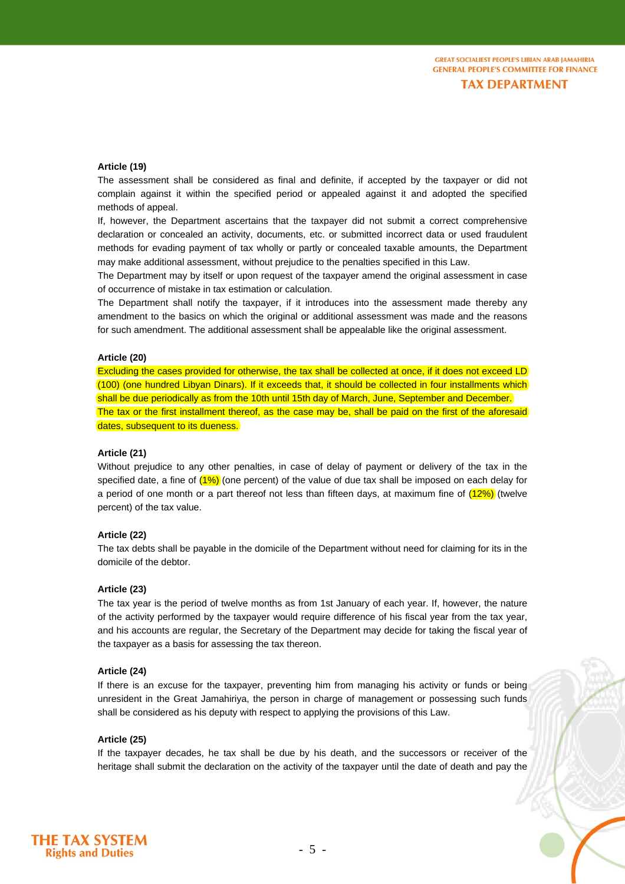#### **Article (19)**

The assessment shall be considered as final and definite, if accepted by the taxpayer or did not complain against it within the specified period or appealed against it and adopted the specified methods of appeal.

If, however, the Department ascertains that the taxpayer did not submit a correct comprehensive declaration or concealed an activity, documents, etc. or submitted incorrect data or used fraudulent methods for evading payment of tax wholly or partly or concealed taxable amounts, the Department may make additional assessment, without prejudice to the penalties specified in this Law.

The Department may by itself or upon request of the taxpayer amend the original assessment in case of occurrence of mistake in tax estimation or calculation.

The Department shall notify the taxpayer, if it introduces into the assessment made thereby any amendment to the basics on which the original or additional assessment was made and the reasons for such amendment. The additional assessment shall be appealable like the original assessment.

#### **Article (20)**

Excluding the cases provided for otherwise, the tax shall be collected at once, if it does not exceed LD (100) (one hundred Libyan Dinars). If it exceeds that, it should be collected in four installments which shall be due periodically as from the 10th until 15th day of March, June, September and December. The tax or the first installment thereof, as the case may be, shall be paid on the first of the aforesaid dates, subsequent to its dueness.

#### **Article (21)**

Without prejudice to any other penalties, in case of delay of payment or delivery of the tax in the specified date, a fine of  $(1\%)$  (one percent) of the value of due tax shall be imposed on each delay for a period of one month or a part thereof not less than fifteen days, at maximum fine of  $(12%)$  (twelve percent) of the tax value.

#### **Article (22)**

The tax debts shall be payable in the domicile of the Department without need for claiming for its in the domicile of the debtor.

# **Article (23)**

The tax year is the period of twelve months as from 1st January of each year. If, however, the nature of the activity performed by the taxpayer would require difference of his fiscal year from the tax year, and his accounts are regular, the Secretary of the Department may decide for taking the fiscal year of the taxpayer as a basis for assessing the tax thereon.

#### **Article (24)**

If there is an excuse for the taxpayer, preventing him from managing his activity or funds or being unresident in the Great Jamahiriya, the person in charge of management or possessing such funds shall be considered as his deputy with respect to applying the provisions of this Law.

#### **Article (25)**

If the taxpayer decades, he tax shall be due by his death, and the successors or receiver of the heritage shall submit the declaration on the activity of the taxpayer until the date of death and pay the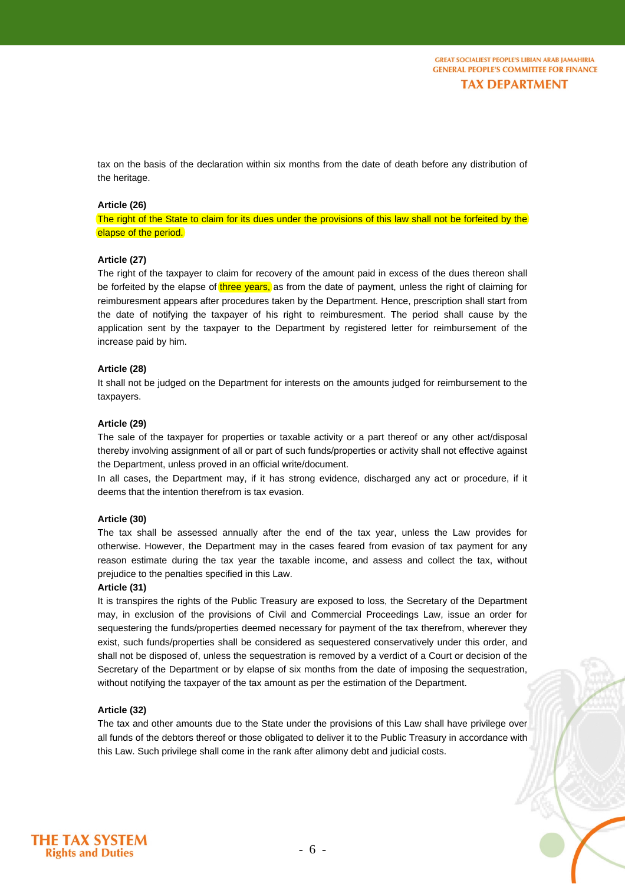tax on the basis of the declaration within six months from the date of death before any distribution of the heritage.

#### **Article (26)**

The right of the State to claim for its dues under the provisions of this law shall not be forfeited by the elapse of the period.

#### **Article (27)**

The right of the taxpayer to claim for recovery of the amount paid in excess of the dues thereon shall be forfeited by the elapse of three years, as from the date of payment, unless the right of claiming for reimburesment appears after procedures taken by the Department. Hence, prescription shall start from the date of notifying the taxpayer of his right to reimburesment. The period shall cause by the application sent by the taxpayer to the Department by registered letter for reimbursement of the increase paid by him.

#### **Article (28)**

It shall not be judged on the Department for interests on the amounts judged for reimbursement to the taxpayers.

#### **Article (29)**

The sale of the taxpayer for properties or taxable activity or a part thereof or any other act/disposal thereby involving assignment of all or part of such funds/properties or activity shall not effective against the Department, unless proved in an official write/document.

In all cases, the Department may, if it has strong evidence, discharged any act or procedure, if it deems that the intention therefrom is tax evasion.

#### **Article (30)**

The tax shall be assessed annually after the end of the tax year, unless the Law provides for otherwise. However, the Department may in the cases feared from evasion of tax payment for any reason estimate during the tax year the taxable income, and assess and collect the tax, without prejudice to the penalties specified in this Law.

#### **Article (31)**

It is transpires the rights of the Public Treasury are exposed to loss, the Secretary of the Department may, in exclusion of the provisions of Civil and Commercial Proceedings Law, issue an order for sequestering the funds/properties deemed necessary for payment of the tax therefrom, wherever they exist, such funds/properties shall be considered as sequestered conservatively under this order, and shall not be disposed of, unless the sequestration is removed by a verdict of a Court or decision of the Secretary of the Department or by elapse of six months from the date of imposing the sequestration, without notifying the taxpayer of the tax amount as per the estimation of the Department.

#### **Article (32)**

The tax and other amounts due to the State under the provisions of this Law shall have privilege over all funds of the debtors thereof or those obligated to deliver it to the Public Treasury in accordance with this Law. Such privilege shall come in the rank after alimony debt and judicial costs.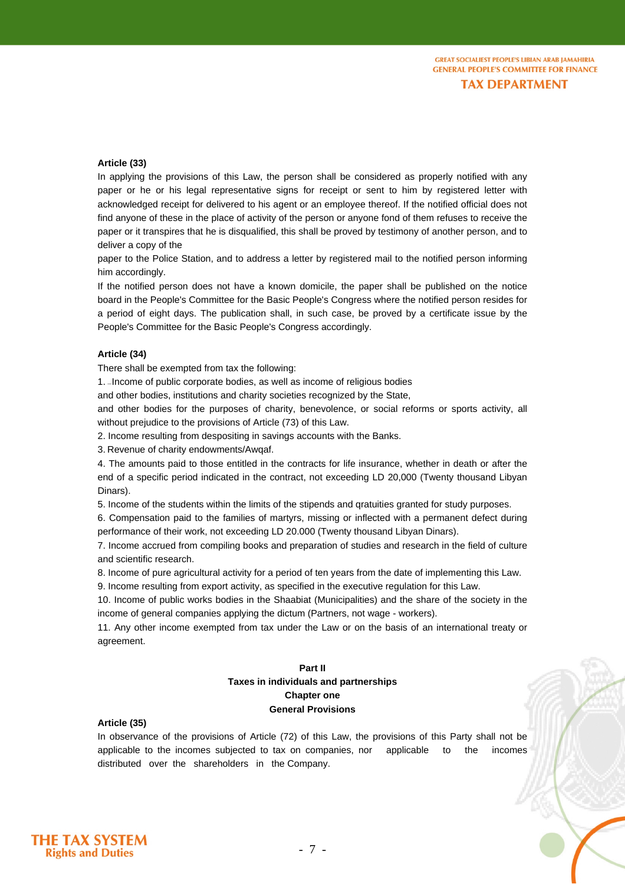# **Article (33)**

In applying the provisions of this Law, the person shall be considered as properly notified with any paper or he or his legal representative signs for receipt or sent to him by registered letter with acknowledged receipt for delivered to his agent or an employee thereof. If the notified official does not find anyone of these in the place of activity of the person or anyone fond of them refuses to receive the paper or it transpires that he is disqualified, this shall be proved by testimony of another person, and to deliver a copy of the

paper to the Police Station, and to address a letter by registered mail to the notified person informing him accordingly.

If the notified person does not have a known domicile, the paper shall be published on the notice board in the People's Committee for the Basic People's Congress where the notified person resides for a period of eight days. The publication shall, in such case, be proved by a certificate issue by the People's Committee for the Basic People's Congress accordingly.

#### **Article (34)**

There shall be exempted from tax the following:

1.  $\Box$ Income of public corporate bodies, as well as income of religious bodies

and other bodies, institutions and charity societies recognized by the State,

and other bodies for the purposes of charity, benevolence, or social reforms or sports activity, all without prejudice to the provisions of Article (73) of this Law.

2. Income resulting from despositing in savings accounts with the Banks.

3. Revenue of charity endowments/Awqaf.

4. The amounts paid to those entitled in the contracts for life insurance, whether in death or after the end of a specific period indicated in the contract, not exceeding LD 20,000 (Twenty thousand Libyan Dinars).

5. Income of the students within the limits of the stipends and qratuities granted for study purposes.

6. Compensation paid to the families of martyrs, missing or inflected with a permanent defect during performance of their work, not exceeding LD 20.000 (Twenty thousand Libyan Dinars).

7. Income accrued from compiling books and preparation of studies and research in the field of culture and scientific research.

8. Income of pure agricultural activity for a period of ten years from the date of implementing this Law.

9. Income resulting from export activity, as specified in the executive regulation for this Law.

10. Income of public works bodies in the Shaabiat (Municipalities) and the share of the society in the income of general companies applying the dictum (Partners, not wage - workers).

11. Any other income exempted from tax under the Law or on the basis of an international treaty or agreement.

# **Part II Taxes in individuals and partnerships Chapter one General Provisions**

# **Article (35)**

In observance of the provisions of Article (72) of this Law, the provisions of this Party shall not be applicable to the incomes subjected to tax on companies, nor applicable to the incomes distributed over the shareholders in the Company.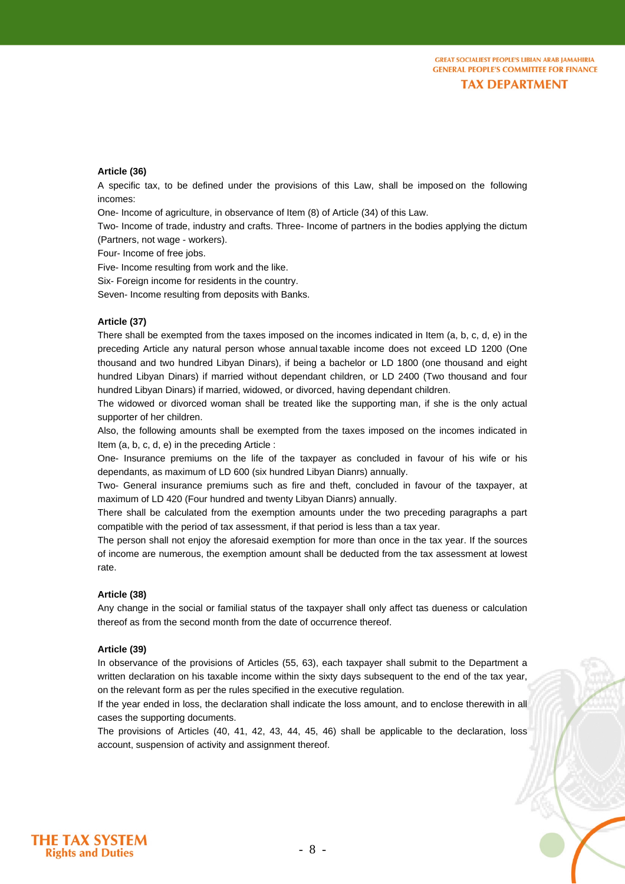**Article (36)**

A specific tax, to be defined under the provisions of this Law, shall be imposed on the following incomes:

One- Income of agriculture, in observance of Item (8) of Article (34) of this Law.

Two- Income of trade, industry and crafts. Three- Income of partners in the bodies applying the dictum (Partners, not wage - workers).

Four- Income of free jobs.

Five- Income resulting from work and the like.

Six- Foreign income for residents in the country.

Seven- Income resulting from deposits with Banks.

#### **Article (37)**

There shall be exempted from the taxes imposed on the incomes indicated in Item (a, b, c, d, e) in the preceding Article any natural person whose annual taxable income does not exceed LD 1200 (One thousand and two hundred Libyan Dinars), if being a bachelor or LD 1800 (one thousand and eight hundred Libyan Dinars) if married without dependant children, or LD 2400 (Two thousand and four hundred Libyan Dinars) if married, widowed, or divorced, having dependant children.

The widowed or divorced woman shall be treated like the supporting man, if she is the only actual supporter of her children.

Also, the following amounts shall be exempted from the taxes imposed on the incomes indicated in Item (a, b, c, d, e) in the preceding Article :

One- Insurance premiums on the life of the taxpayer as concluded in favour of his wife or his dependants, as maximum of LD 600 (six hundred Libyan Dianrs) annually.

Two- General insurance premiums such as fire and theft, concluded in favour of the taxpayer, at maximum of LD 420 (Four hundred and twenty Libyan Dianrs) annually.

There shall be calculated from the exemption amounts under the two preceding paragraphs a part compatible with the period of tax assessment, if that period is less than a tax year.

The person shall not enjoy the aforesaid exemption for more than once in the tax year. If the sources of income are numerous, the exemption amount shall be deducted from the tax assessment at lowest rate.

#### **Article (38)**

Any change in the social or familial status of the taxpayer shall only affect tas dueness or calculation thereof as from the second month from the date of occurrence thereof.

#### **Article (39)**

In observance of the provisions of Articles (55, 63), each taxpayer shall submit to the Department a written declaration on his taxable income within the sixty days subsequent to the end of the tax year, on the relevant form as per the rules specified in the executive regulation.

If the year ended in loss, the declaration shall indicate the loss amount, and to enclose therewith in all cases the supporting documents.

The provisions of Articles (40, 41, 42, 43, 44, 45, 46) shall be applicable to the declaration, loss account, suspension of activity and assignment thereof.

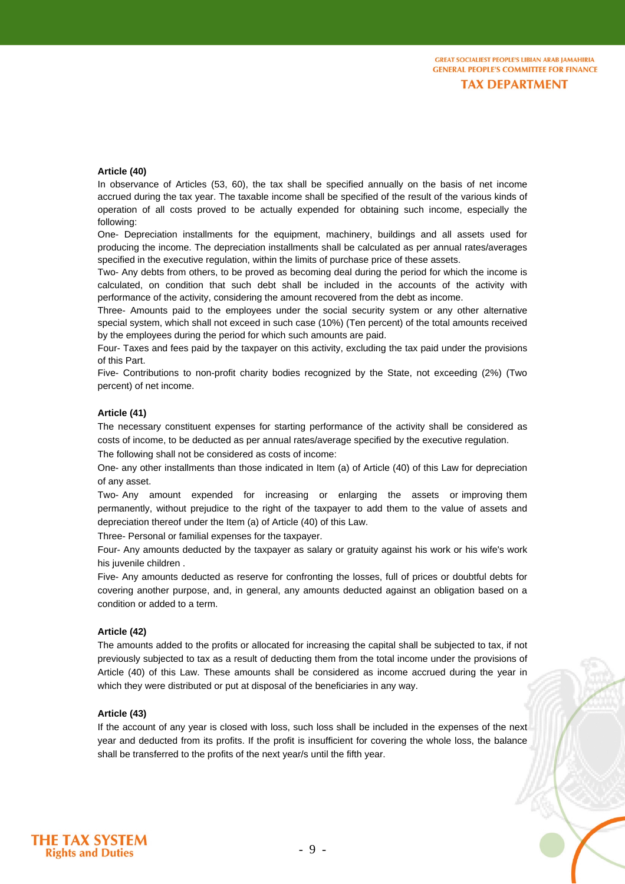## **Article (40)**

In observance of Articles (53, 60), the tax shall be specified annually on the basis of net income accrued during the tax year. The taxable income shall be specified of the result of the various kinds of operation of all costs proved to be actually expended for obtaining such income, especially the following:

One- Depreciation installments for the equipment, machinery, buildings and all assets used for producing the income. The depreciation installments shall be calculated as per annual rates/averages specified in the executive regulation, within the limits of purchase price of these assets.

Two- Any debts from others, to be proved as becoming deal during the period for which the income is calculated, on condition that such debt shall be included in the accounts of the activity with performance of the activity, considering the amount recovered from the debt as income.

Three- Amounts paid to the employees under the social security system or any other alternative special system, which shall not exceed in such case (10%) (Ten percent) of the total amounts received by the employees during the period for which such amounts are paid.

Four- Taxes and fees paid by the taxpayer on this activity, excluding the tax paid under the provisions of this Part.

Five- Contributions to non-profit charity bodies recognized by the State, not exceeding (2%) (Two percent) of net income.

#### **Article (41)**

The necessary constituent expenses for starting performance of the activity shall be considered as costs of income, to be deducted as per annual rates/average specified by the executive regulation. The following shall not be considered as costs of income:

One- any other installments than those indicated in Item (a) of Article (40) of this Law for depreciation of any asset.

Two- Any amount expended for increasing or enlarging the assets or improving them permanently, without prejudice to the right of the taxpayer to add them to the value of assets and depreciation thereof under the Item (a) of Article (40) of this Law.

Three- Personal or familial expenses for the taxpayer.

Four- Any amounts deducted by the taxpayer as salary or gratuity against his work or his wife's work his juvenile children .

Five- Any amounts deducted as reserve for confronting the losses, full of prices or doubtful debts for covering another purpose, and, in general, any amounts deducted against an obligation based on a condition or added to a term.

#### **Article (42)**

The amounts added to the profits or allocated for increasing the capital shall be subjected to tax, if not previously subjected to tax as a result of deducting them from the total income under the provisions of Article (40) of this Law. These amounts shall be considered as income accrued during the year in which they were distributed or put at disposal of the beneficiaries in any way.

# **Article (43)**

If the account of any year is closed with loss, such loss shall be included in the expenses of the next year and deducted from its profits. If the profit is insufficient for covering the whole loss, the balance shall be transferred to the profits of the next year/s until the fifth year.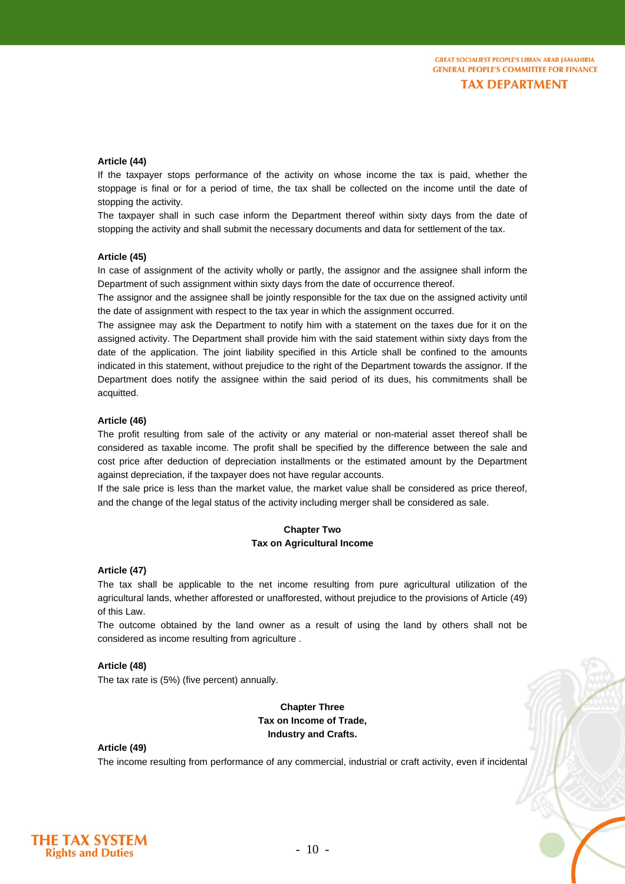# **Article (44)**

If the taxpayer stops performance of the activity on whose income the tax is paid, whether the stoppage is final or for a period of time, the tax shall be collected on the income until the date of stopping the activity.

The taxpayer shall in such case inform the Department thereof within sixty days from the date of stopping the activity and shall submit the necessary documents and data for settlement of the tax.

#### **Article (45)**

In case of assignment of the activity wholly or partly, the assignor and the assignee shall inform the Department of such assignment within sixty days from the date of occurrence thereof.

The assignor and the assignee shall be jointly responsible for the tax due on the assigned activity until the date of assignment with respect to the tax year in which the assignment occurred.

The assignee may ask the Department to notify him with a statement on the taxes due for it on the assigned activity. The Department shall provide him with the said statement within sixty days from the date of the application. The joint liability specified in this Article shall be confined to the amounts indicated in this statement, without prejudice to the right of the Department towards the assignor. If the Department does notify the assignee within the said period of its dues, his commitments shall be acquitted.

#### **Article (46)**

The profit resulting from sale of the activity or any material or non-material asset thereof shall be considered as taxable income. The profit shall be specified by the difference between the sale and cost price after deduction of depreciation installments or the estimated amount by the Department against depreciation, if the taxpayer does not have regular accounts.

If the sale price is less than the market value, the market value shall be considered as price thereof, and the change of the legal status of the activity including merger shall be considered as sale.

# **Chapter Two Tax on Agricultural Income**

#### **Article (47)**

The tax shall be applicable to the net income resulting from pure agricultural utilization of the agricultural lands, whether afforested or unafforested, without prejudice to the provisions of Article (49) of this Law.

The outcome obtained by the land owner as a result of using the land by others shall not be considered as income resulting from agriculture .

#### **Article (48)**

The tax rate is (5%) (five percent) annually.

**Chapter Three Tax on Income of Trade, Industry and Crafts.**

#### **Article (49)**

The income resulting from performance of any commercial, industrial or craft activity, even if incidental

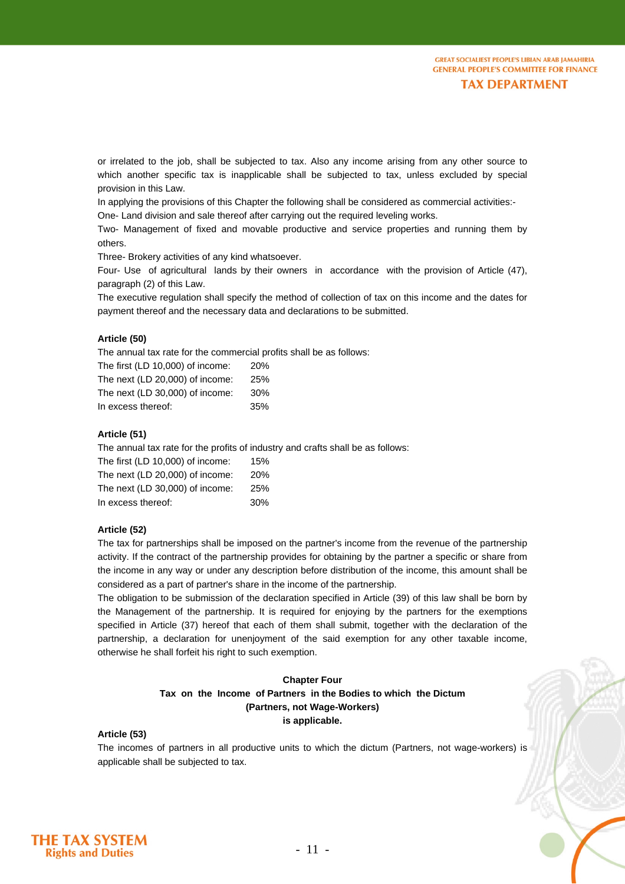or irrelated to the job, shall be subjected to tax. Also any income arising from any other source to which another specific tax is inapplicable shall be subjected to tax, unless excluded by special provision in this Law.

In applying the provisions of this Chapter the following shall be considered as commercial activities:- One- Land division and sale thereof after carrying out the required leveling works.

Two- Management of fixed and movable productive and service properties and running them by others.

Three- Brokery activities of any kind whatsoever.

Four- Use of agricultural lands by their owners in accordance with the provision of Article (47), paragraph (2) of this Law.

The executive regulation shall specify the method of collection of tax on this income and the dates for payment thereof and the necessary data and declarations to be submitted.

# **Article (50)**

The annual tax rate for the commercial profits shall be as follows:

| The first (LD 10,000) of income: | <b>20%</b> |
|----------------------------------|------------|
| The next (LD 20,000) of income:  | 25%        |
| The next (LD 30,000) of income:  | 30%        |
| In excess thereof:               | 35%        |

# **Article (51)**

The annual tax rate for the profits of industry and crafts shall be as follows:

| The first (LD 10,000) of income: | 15%        |
|----------------------------------|------------|
| The next (LD 20,000) of income:  | <b>20%</b> |
| The next (LD 30,000) of income:  | 25%        |
| In excess thereof:               | 30%        |

#### **Article (52)**

The tax for partnerships shall be imposed on the partner's income from the revenue of the partnership activity. If the contract of the partnership provides for obtaining by the partner a specific or share from the income in any way or under any description before distribution of the income, this amount shall be considered as a part of partner's share in the income of the partnership.

The obligation to be submission of the declaration specified in Article (39) of this law shall be born by the Management of the partnership. It is required for enjoying by the partners for the exemptions specified in Article (37) hereof that each of them shall submit, together with the declaration of the partnership, a declaration for unenjoyment of the said exemption for any other taxable income, otherwise he shall forfeit his right to such exemption.

# **Chapter Four Tax on the Income of Partners in the Bodies to which the Dictum (Partners, not Wage-Workers) is applicable.**

# **Article (53)**

The incomes of partners in all productive units to which the dictum (Partners, not wage-workers) is applicable shall be subjected to tax.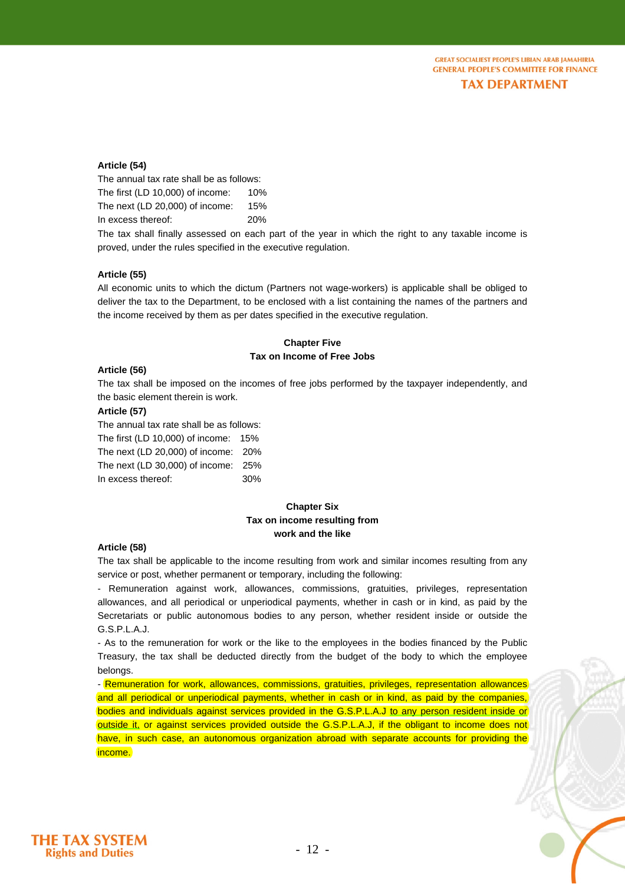# **Article (54)**

The annual tax rate shall be as follows: The first (LD 10,000) of income: 10% The next (LD 20,000) of income: 15% In excess thereof: 20%

The tax shall finally assessed on each part of the year in which the right to any taxable income is proved, under the rules specified in the executive regulation.

#### **Article (55)**

All economic units to which the dictum (Partners not wage-workers) is applicable shall be obliged to deliver the tax to the Department, to be enclosed with a list containing the names of the partners and the income received by them as per dates specified in the executive regulation.

# **Chapter Five Tax on Income of Free Jobs**

#### **Article (56)**

The tax shall be imposed on the incomes of free jobs performed by the taxpayer independently, and the basic element therein is work.

# **Article (57)**

The annual tax rate shall be as follows:

The first (LD 10,000) of income: 15% The next (LD 20,000) of income: 20% The next (LD 30,000) of income: 25%

In excess thereof: 30%

# **Chapter Six Tax on income resulting from work and the like**

#### **Article (58)**

The tax shall be applicable to the income resulting from work and similar incomes resulting from any service or post, whether permanent or temporary, including the following:

- Remuneration against work, allowances, commissions, gratuities, privileges, representation allowances, and all periodical or unperiodical payments, whether in cash or in kind, as paid by the Secretariats or public autonomous bodies to any person, whether resident inside or outside the G.S.P.L.A.J.

- As to the remuneration for work or the like to the employees in the bodies financed by the Public Treasury, the tax shall be deducted directly from the budget of the body to which the employee belongs.

- Remuneration for work, allowances, commissions, gratuities, privileges, representation allowances and all periodical or unperiodical payments, whether in cash or in kind, as paid by the companies, bodies and individuals against services provided in the G.S.P.L.A.J to any person resident inside or outside it, or against services provided outside the G.S.P.L.A.J, if the obligant to income does not have, in such case, an autonomous organization abroad with separate accounts for providing the income.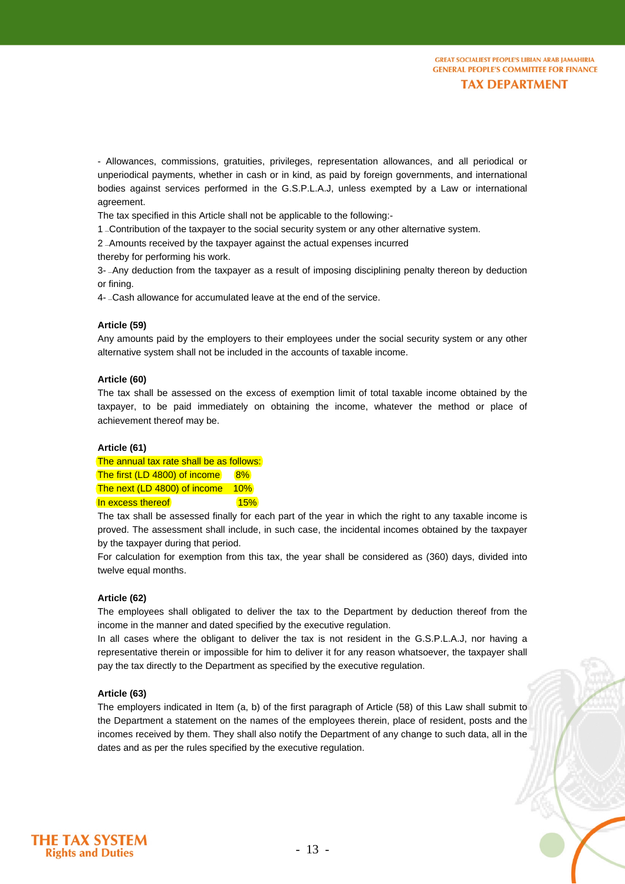- Allowances, commissions, gratuities, privileges, representation allowances, and all periodical or unperiodical payments, whether in cash or in kind, as paid by foreign governments, and international bodies against services performed in the G.S.P.L.A.J, unless exempted by a Law or international agreement.

The tax specified in this Article shall not be applicable to the following:-

1 –Contribution of the taxpayer to the social security system or any other alternative system.

2 - Amounts received by the taxpayer against the actual expenses incurred

thereby for performing his work.

3-  $-Any$  deduction from the taxpayer as a result of imposing disciplining penalty thereon by deduction or fining.

4- - Cash allowance for accumulated leave at the end of the service.

# **Article (59)**

Any amounts paid by the employers to their employees under the social security system or any other alternative system shall not be included in the accounts of taxable income.

#### **Article (60)**

The tax shall be assessed on the excess of exemption limit of total taxable income obtained by the taxpayer, to be paid immediately on obtaining the income, whatever the method or place of achievement thereof may be.

## **Article (61)**

The annual tax rate shall be as follows: The first (LD 4800) of income 8% The next (LD 4800) of income 10% In excess thereof **15%** 

The tax shall be assessed finally for each part of the year in which the right to any taxable income is proved. The assessment shall include, in such case, the incidental incomes obtained by the taxpayer by the taxpayer during that period.

For calculation for exemption from this tax, the year shall be considered as (360) days, divided into twelve equal months.

#### **Article (62)**

The employees shall obligated to deliver the tax to the Department by deduction thereof from the income in the manner and dated specified by the executive regulation.

In all cases where the obligant to deliver the tax is not resident in the G.S.P.L.A.J, nor having a representative therein or impossible for him to deliver it for any reason whatsoever, the taxpayer shall pay the tax directly to the Department as specified by the executive regulation.

#### **Article (63)**

The employers indicated in Item (a, b) of the first paragraph of Article (58) of this Law shall submit to the Department a statement on the names of the employees therein, place of resident, posts and the incomes received by them. They shall also notify the Department of any change to such data, all in the dates and as per the rules specified by the executive regulation.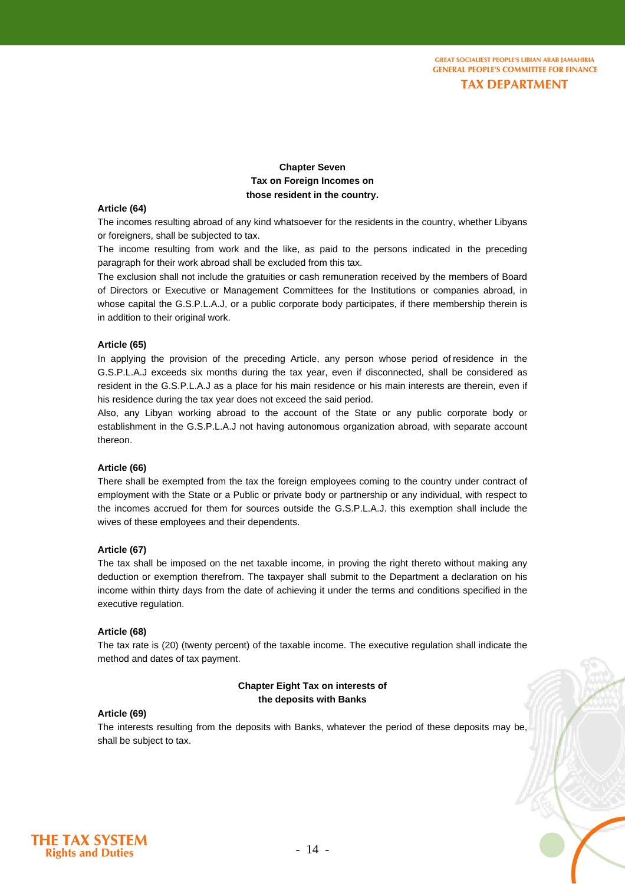**Chapter Seven Tax on Foreign Incomes on those resident in the country.**

#### **Article (64)**

The incomes resulting abroad of any kind whatsoever for the residents in the country, whether Libyans or foreigners, shall be subjected to tax.

The income resulting from work and the like, as paid to the persons indicated in the preceding paragraph for their work abroad shall be excluded from this tax.

The exclusion shall not include the gratuities or cash remuneration received by the members of Board of Directors or Executive or Management Committees for the Institutions or companies abroad, in whose capital the G.S.P.L.A.J, or a public corporate body participates, if there membership therein is in addition to their original work.

## **Article (65)**

In applying the provision of the preceding Article, any person whose period of residence in the G.S.P.L.A.J exceeds six months during the tax year, even if disconnected, shall be considered as resident in the G.S.P.L.A.J as a place for his main residence or his main interests are therein, even if his residence during the tax year does not exceed the said period.

Also, any Libyan working abroad to the account of the State or any public corporate body or establishment in the G.S.P.L.A.J not having autonomous organization abroad, with separate account thereon.

#### **Article (66)**

There shall be exempted from the tax the foreign employees coming to the country under contract of employment with the State or a Public or private body or partnership or any individual, with respect to the incomes accrued for them for sources outside the G.S.P.L.A.J. this exemption shall include the wives of these employees and their dependents.

#### **Article (67)**

The tax shall be imposed on the net taxable income, in proving the right thereto without making any deduction or exemption therefrom. The taxpayer shall submit to the Department a declaration on his income within thirty days from the date of achieving it under the terms and conditions specified in the executive regulation.

#### **Article (68)**

The tax rate is (20) (twenty percent) of the taxable income. The executive regulation shall indicate the method and dates of tax payment.

# **Chapter Eight Tax on interests of the deposits with Banks**

## **Article (69)**

The interests resulting from the deposits with Banks, whatever the period of these deposits may be, shall be subject to tax.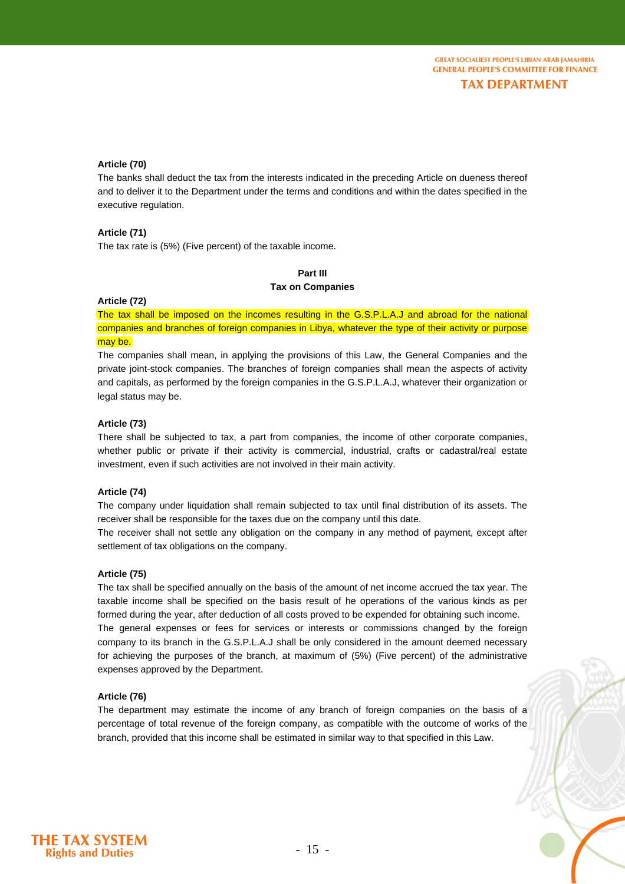## **Article (70)**

The banks shall deduct the tax from the interests indicated in the preceding Article on dueness thereof and to deliver it to the Department under the terms and conditions and within the dates specified in the executive regulation.

#### **Article (71)**

The tax rate is (5%) (Five percent) of the taxable income.

# **Part III Tax on Companies**

#### **Article (72)**

The tax shall be imposed on the incomes resulting in the G.S.P.L.A.J and abroad for the national companies and branches of foreign companies in Libya, whatever the type of their activity or purpose may be.

The companies shall mean, in applying the provisions of this Law, the General Companies and the private joint-stock companies. The branches of foreign companies shall mean the aspects of activity and capitals, as performed by the foreign companies in the G.S.P.L.A.J, whatever their organization or legal status may be.

# **Article (73)**

There shall be subjected to tax, a part from companies, the income of other corporate companies, whether public or private if their activity is commercial, industrial, crafts or cadastral/real estate investment, even if such activities are not involved in their main activity.

#### **Article (74)**

The company under liquidation shall remain subjected to tax until final distribution of its assets. The receiver shall be responsible for the taxes due on the company until this date.

The receiver shall not settle any obligation on the company in any method of payment, except after settlement of tax obligations on the company.

#### **Article (75)**

The tax shall be specified annually on the basis of the amount of net income accrued the tax year. The taxable income shall be specified on the basis result of he operations of the various kinds as per formed during the year, after deduction of all costs proved to be expended for obtaining such income. The general expenses or fees for services or interests or commissions changed by the foreign company to its branch in the G.S.P.L.A.J shall be only considered in the amount deemed necessary for achieving the purposes of the branch, at maximum of (5%) (Five percent) of the administrative expenses approved by the Department.

# **Article (76)**

The department may estimate the income of any branch of foreign companies on the basis of a percentage of total revenue of the foreign company, as compatible with the outcome of works of the branch, provided that this income shall be estimated in similar way to that specified in this Law.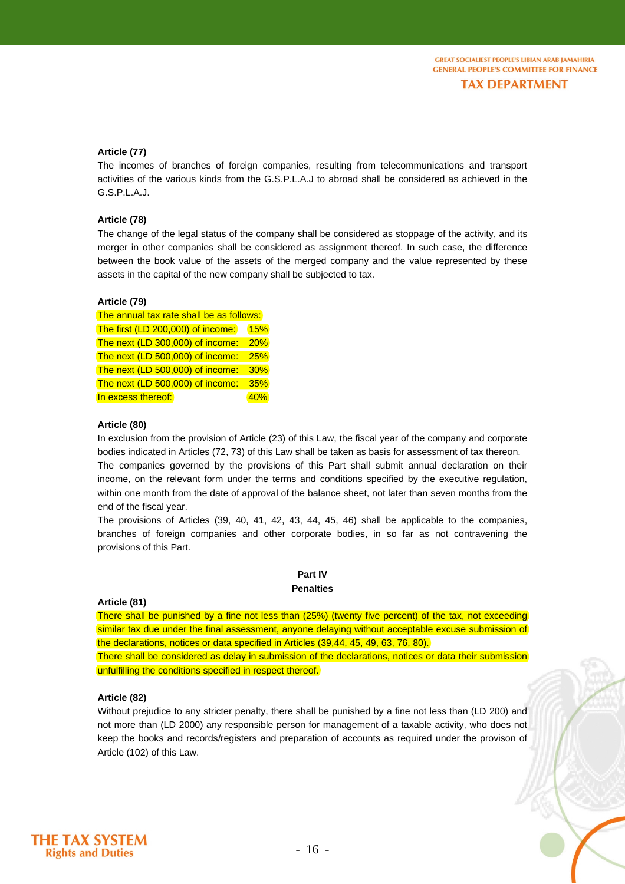# **Article (77)**

The incomes of branches of foreign companies, resulting from telecommunications and transport activities of the various kinds from the G.S.P.L.A.J to abroad shall be considered as achieved in the G.S.P.L.A.J.

# **Article (78)**

The change of the legal status of the company shall be considered as stoppage of the activity, and its merger in other companies shall be considered as assignment thereof. In such case, the difference between the book value of the assets of the merged company and the value represented by these assets in the capital of the new company shall be subjected to tax.

# **Article (79)**

| The annual tax rate shall be as follows: |            |  |
|------------------------------------------|------------|--|
| The first (LD 200,000) of income:        | <b>15%</b> |  |
| The next (LD 300,000) of income:         | 20%        |  |
| The next (LD 500,000) of income:         | 25%        |  |
| The next (LD 500,000) of income:         | 30%        |  |
| The next (LD 500,000) of income:         | 35%        |  |
| In excess thereof:                       | 40%        |  |

#### **Article (80)**

In exclusion from the provision of Article (23) of this Law, the fiscal year of the company and corporate bodies indicated in Articles (72, 73) of this Law shall be taken as basis for assessment of tax thereon. The companies governed by the provisions of this Part shall submit annual declaration on their

income, on the relevant form under the terms and conditions specified by the executive regulation, within one month from the date of approval of the balance sheet, not later than seven months from the end of the fiscal year.

The provisions of Articles (39, 40, 41, 42, 43, 44, 45, 46) shall be applicable to the companies, branches of foreign companies and other corporate bodies, in so far as not contravening the provisions of this Part.

# **Part IV Penalties**

# **Article (81)**

There shall be punished by a fine not less than (25%) (twenty five percent) of the tax, not exceeding similar tax due under the final assessment, anyone delaying without acceptable excuse submission of the declarations, notices or data specified in Articles (39,44, 45, 49, 63, 76, 80).

There shall be considered as delay in submission of the declarations, notices or data their submission unfulfilling the conditions specified in respect thereof.

# **Article (82)**

Without prejudice to any stricter penalty, there shall be punished by a fine not less than (LD 200) and not more than (LD 2000) any responsible person for management of a taxable activity, who does not keep the books and records/registers and preparation of accounts as required under the provison of Article (102) of this Law.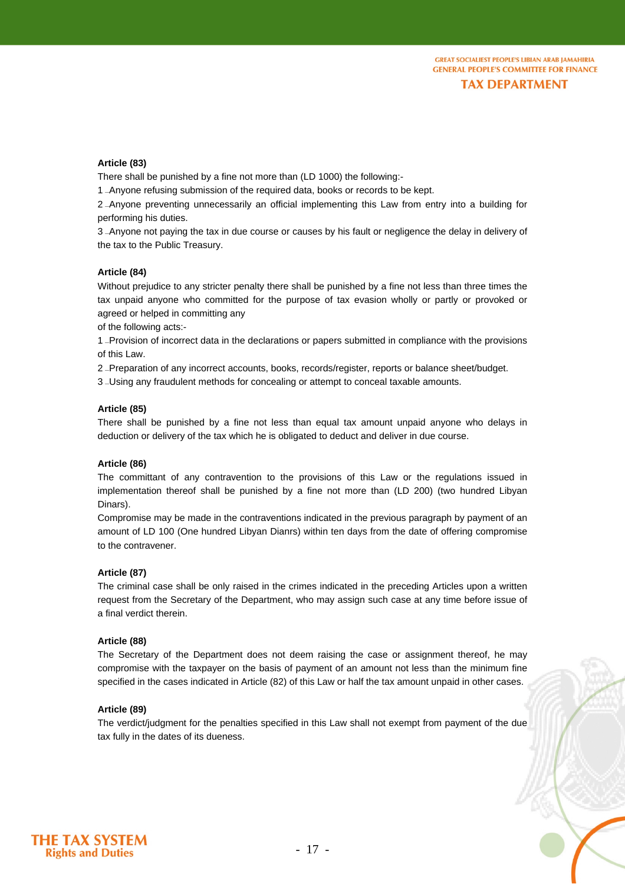## **Article (83)**

There shall be punished by a fine not more than (LD 1000) the following:-

1  $\overline{a}$ Anyone refusing submission of the required data, books or records to be kept.

2 -Anyone preventing unnecessarily an official implementing this Law from entry into a building for performing his duties.

3–Anyone not paying the tax in due course or causes by his fault or negligence the delay in delivery of the tax to the Public Treasury.

# **Article (84)**

Without prejudice to any stricter penalty there shall be punished by a fine not less than three times the tax unpaid anyone who committed for the purpose of tax evasion wholly or partly or provoked or agreed or helped in committing any

of the following acts:-

1 -Provision of incorrect data in the declarations or papers submitted in compliance with the provisions of this Law.

2 -Preparation of any incorrect accounts, books, records/register, reports or balance sheet/budget.

3 - Using any fraudulent methods for concealing or attempt to conceal taxable amounts.

#### **Article (85)**

There shall be punished by a fine not less than equal tax amount unpaid anyone who delays in deduction or delivery of the tax which he is obligated to deduct and deliver in due course.

#### **Article (86)**

The committant of any contravention to the provisions of this Law or the regulations issued in implementation thereof shall be punished by a fine not more than (LD 200) (two hundred Libyan Dinars).

Compromise may be made in the contraventions indicated in the previous paragraph by payment of an amount of LD 100 (One hundred Libyan Dianrs) within ten days from the date of offering compromise to the contravener.

# **Article (87)**

The criminal case shall be only raised in the crimes indicated in the preceding Articles upon a written request from the Secretary of the Department, who may assign such case at any time before issue of a final verdict therein.

#### **Article (88)**

The Secretary of the Department does not deem raising the case or assignment thereof, he may compromise with the taxpayer on the basis of payment of an amount not less than the minimum fine specified in the cases indicated in Article (82) of this Law or half the tax amount unpaid in other cases.

#### **Article (89)**

The verdict/judgment for the penalties specified in this Law shall not exempt from payment of the due tax fully in the dates of its dueness.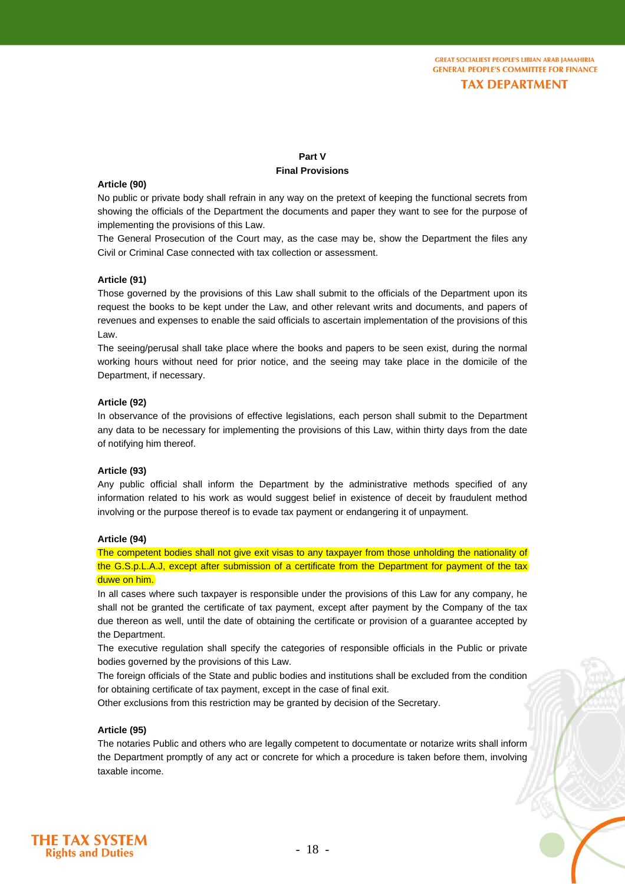# **Part V Final Provisions**

## **Article (90)**

No public or private body shall refrain in any way on the pretext of keeping the functional secrets from showing the officials of the Department the documents and paper they want to see for the purpose of implementing the provisions of this Law.

The General Prosecution of the Court may, as the case may be, show the Department the files any Civil or Criminal Case connected with tax collection or assessment.

#### **Article (91)**

Those governed by the provisions of this Law shall submit to the officials of the Department upon its request the books to be kept under the Law, and other relevant writs and documents, and papers of revenues and expenses to enable the said officials to ascertain implementation of the provisions of this Law.

The seeing/perusal shall take place where the books and papers to be seen exist, during the normal working hours without need for prior notice, and the seeing may take place in the domicile of the Department, if necessary.

# **Article (92)**

In observance of the provisions of effective legislations, each person shall submit to the Department any data to be necessary for implementing the provisions of this Law, within thirty days from the date of notifying him thereof.

#### **Article (93)**

Any public official shall inform the Department by the administrative methods specified of any information related to his work as would suggest belief in existence of deceit by fraudulent method involving or the purpose thereof is to evade tax payment or endangering it of unpayment.

#### **Article (94)**

The competent bodies shall not give exit visas to any taxpayer from those unholding the nationality of the G.S.p.L.A.J, except after submission of a certificate from the Department for payment of the tax duwe on him.

In all cases where such taxpayer is responsible under the provisions of this Law for any company, he shall not be granted the certificate of tax payment, except after payment by the Company of the tax due thereon as well, until the date of obtaining the certificate or provision of a guarantee accepted by the Department.

The executive regulation shall specify the categories of responsible officials in the Public or private bodies governed by the provisions of this Law.

The foreign officials of the State and public bodies and institutions shall be excluded from the condition for obtaining certificate of tax payment, except in the case of final exit.

Other exclusions from this restriction may be granted by decision of the Secretary.

## **Article (95)**

The notaries Public and others who are legally competent to documentate or notarize writs shall inform the Department promptly of any act or concrete for which a procedure is taken before them, involving taxable income.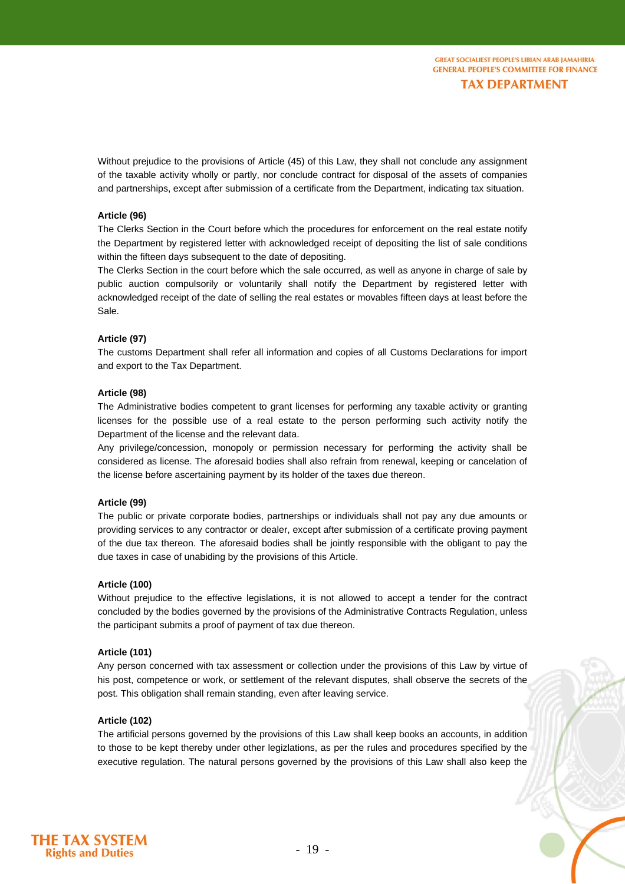Without prejudice to the provisions of Article (45) of this Law, they shall not conclude any assignment of the taxable activity wholly or partly, nor conclude contract for disposal of the assets of companies and partnerships, except after submission of a certificate from the Department, indicating tax situation.

# **Article (96)**

The Clerks Section in the Court before which the procedures for enforcement on the real estate notify the Department by registered letter with acknowledged receipt of depositing the list of sale conditions within the fifteen days subsequent to the date of depositing.

The Clerks Section in the court before which the sale occurred, as well as anyone in charge of sale by public auction compulsorily or voluntarily shall notify the Department by registered letter with acknowledged receipt of the date of selling the real estates or movables fifteen days at least before the Sale.

#### **Article (97)**

The customs Department shall refer all information and copies of all Customs Declarations for import and export to the Tax Department.

#### **Article (98)**

The Administrative bodies competent to grant licenses for performing any taxable activity or granting licenses for the possible use of a real estate to the person performing such activity notify the Department of the license and the relevant data.

Any privilege/concession, monopoly or permission necessary for performing the activity shall be considered as license. The aforesaid bodies shall also refrain from renewal, keeping or cancelation of the license before ascertaining payment by its holder of the taxes due thereon.

#### **Article (99)**

The public or private corporate bodies, partnerships or individuals shall not pay any due amounts or providing services to any contractor or dealer, except after submission of a certificate proving payment of the due tax thereon. The aforesaid bodies shall be jointly responsible with the obligant to pay the due taxes in case of unabiding by the provisions of this Article.

#### **Article (100)**

Without prejudice to the effective legislations, it is not allowed to accept a tender for the contract concluded by the bodies governed by the provisions of the Administrative Contracts Regulation, unless the participant submits a proof of payment of tax due thereon.

#### **Article (101)**

Any person concerned with tax assessment or collection under the provisions of this Law by virtue of his post, competence or work, or settlement of the relevant disputes, shall observe the secrets of the post. This obligation shall remain standing, even after leaving service.

# **Article (102)**

The artificial persons governed by the provisions of this Law shall keep books an accounts, in addition to those to be kept thereby under other legizlations, as per the rules and procedures specified by the executive regulation. The natural persons governed by the provisions of this Law shall also keep the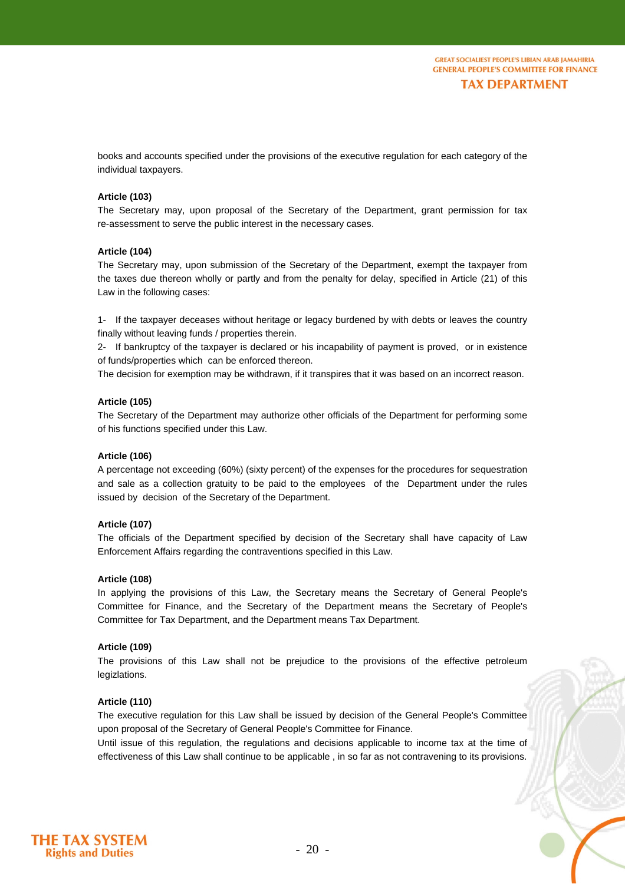books and accounts specified under the provisions of the executive regulation for each category of the individual taxpayers.

# **Article (103)**

The Secretary may, upon proposal of the Secretary of the Department, grant permission for tax re-assessment to serve the public interest in the necessary cases.

#### **Article (104)**

The Secretary may, upon submission of the Secretary of the Department, exempt the taxpayer from the taxes due thereon wholly or partly and from the penalty for delay, specified in Article (21) of this Law in the following cases:

1- If the taxpayer deceases without heritage or legacy burdened by with debts or leaves the country finally without leaving funds / properties therein.

2- If bankruptcy of the taxpayer is declared or his incapability of payment is proved, or in existence of funds/properties which can be enforced thereon.

The decision for exemption may be withdrawn, if it transpires that it was based on an incorrect reason.

#### **Article (105)**

The Secretary of the Department may authorize other officials of the Department for performing some of his functions specified under this Law.

#### **Article (106)**

A percentage not exceeding (60%) (sixty percent) of the expenses for the procedures for sequestration and sale as a collection gratuity to be paid to the employees of the Department under the rules issued by decision of the Secretary of the Department.

#### **Article (107)**

The officials of the Department specified by decision of the Secretary shall have capacity of Law Enforcement Affairs regarding the contraventions specified in this Law.

#### **Article (108)**

In applying the provisions of this Law, the Secretary means the Secretary of General People's Committee for Finance, and the Secretary of the Department means the Secretary of People's Committee for Tax Department, and the Department means Tax Department.

#### **Article (109)**

The provisions of this Law shall not be prejudice to the provisions of the effective petroleum legizlations.

#### **Article (110)**

The executive regulation for this Law shall be issued by decision of the General People's Committee upon proposal of the Secretary of General People's Committee for Finance.

Until issue of this regulation, the regulations and decisions applicable to income tax at the time of effectiveness of this Law shall continue to be applicable , in so far as not contravening to its provisions.